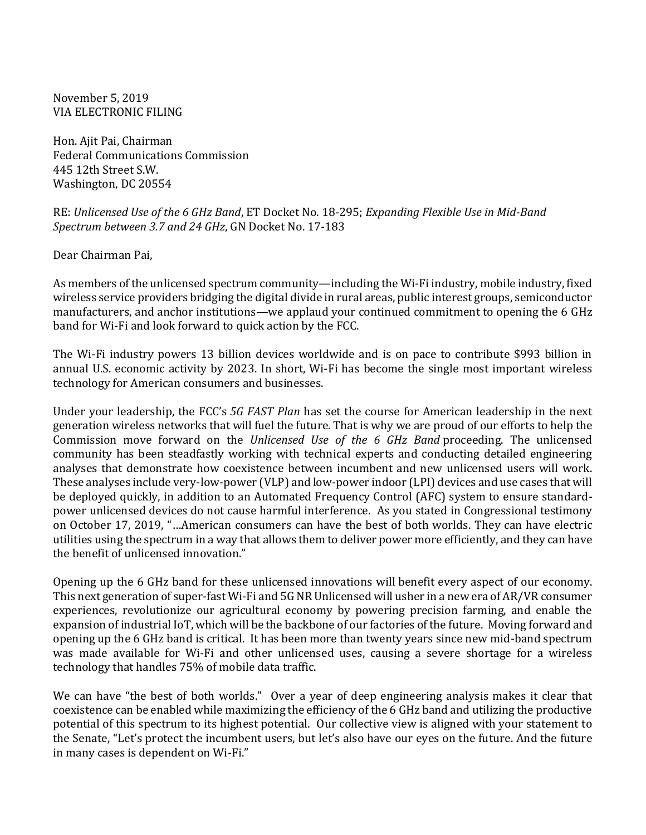November 5, 2019 VIA ELECTRONIC FILING

Hon. Ajit Pai, Chairman Federal Communications Commission 445 12th Street S.W. Washington, DC 20554

RE: *Unlicensed Use of the 6 GHz Band*, ET Docket No. 18-295; *Expanding Flexible Use in Mid-Band Spectrum between 3.7 and 24 GHz*, GN Docket No. 17-183

Dear Chairman Pai,

As members of the unlicensed spectrum community—including the Wi-Fi industry, mobile industry, fixed wireless service providers bridging the digital divide in rural areas, public interest groups, semiconductor manufacturers, and anchor institutions—we applaud your continued commitment to opening the 6 GHz band for Wi-Fi and look forward to quick action by the FCC.

The Wi-Fi industry powers 13 billion devices worldwide and is on pace to contribute \$993 billion in annual U.S. economic activity by 2023. In short, Wi-Fi has become the single most important wireless technology for American consumers and businesses.

Under your leadership, the FCC's *5G FAST Plan* has set the course for American leadership in the next generation wireless networks that will fuel the future. That is why we are proud of our efforts to help the Commission move forward on the *Unlicensed Use of the 6 GHz Band* proceeding. The unlicensed community has been steadfastly working with technical experts and conducting detailed engineering analyses that demonstrate how coexistence between incumbent and new unlicensed users will work. These analyses include very-low-power (VLP) and low-power indoor (LPI) devices and use cases that will be deployed quickly, in addition to an Automated Frequency Control (AFC) system to ensure standardpower unlicensed devices do not cause harmful interference. As you stated in Congressional testimony on October 17, 2019, "…American consumers can have the best of both worlds. They can have electric utilities using the spectrum in a way that allows them to deliver power more efficiently, and they can have the benefit of unlicensed innovation."

Opening up the 6 GHz band for these unlicensed innovations will benefit every aspect of our economy. This next generation of super-fast Wi-Fi and 5G NR Unlicensed will usher in a new era of AR/VR consumer experiences, revolutionize our agricultural economy by powering precision farming, and enable the expansion of industrial IoT, which will be the backbone of our factories of the future. Moving forward and opening up the 6 GHz band is critical. It has been more than twenty years since new mid-band spectrum was made available for Wi-Fi and other unlicensed uses, causing a severe shortage for a wireless technology that handles 75% of mobile data traffic.

We can have "the best of both worlds." Over a year of deep engineering analysis makes it clear that coexistence can be enabled while maximizing the efficiency of the 6 GHz band and utilizing the productive potential of this spectrum to its highest potential. Our collective view is aligned with your statement to the Senate, "Let's protect the incumbent users, but let's also have our eyes on the future. And the future in many cases is dependent on Wi-Fi."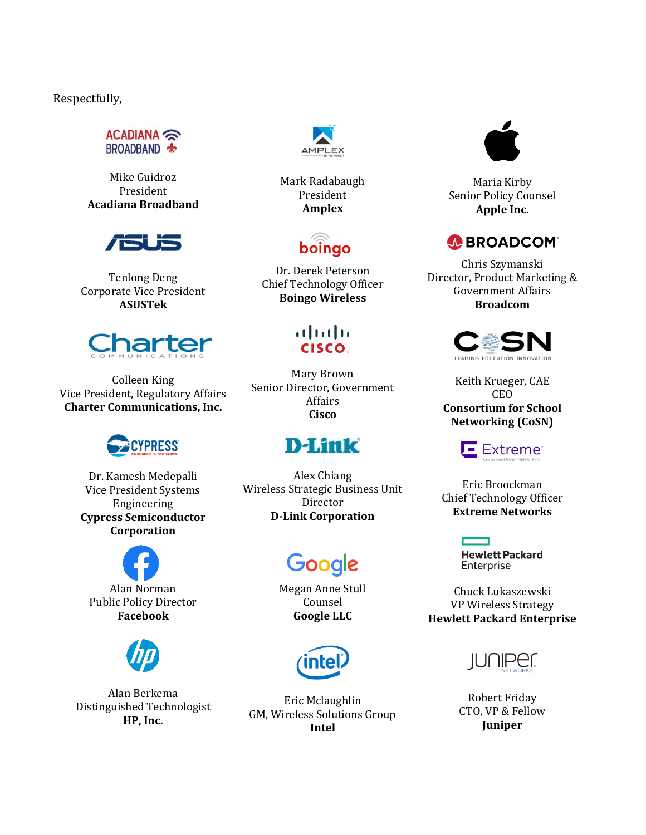Respectfully,

ACADIANA BROADBAND \$

Mike Guidroz President **Acadiana Broadband**



Tenlong Deng Corporate Vice President **ASUSTek**



Colleen King Vice President, Regulatory Affairs **Charter Communications, Inc.**



Dr. Kamesh Medepalli Vice President Systems Engineering **Cypress Semiconductor Corporation**

Alan Norman Public Policy Director **Facebook**



Alan Berkema Distinguished Technologist **HP, Inc.**



Mark Radabaugh President **Amplex**



Dr. Derek Peterson Chief Technology Officer **Boingo Wireless**

#### $(1)$   $(1)$   $(1)$ **CISCO.**

Mary Brown Senior Director, Government Affairs **Cisco**

### **D-Link**

Alex Chiang Wireless Strategic Business Unit Director **D-Link Corporation**

# Google

Megan Anne Stull Counsel **Google LLC**



Eric Mclaughlin GM, Wireless Solutions Group **Intel**



Maria Kirby Senior Policy Counsel **Apple Inc.**

#### **A BROADCOM®**

Chris Szymanski Director, Product Marketing & Government Affairs **Broadcom**



Keith Krueger, CAE CEO **Consortium for School Networking (CoSN)**

#### Extreme<sup>®</sup>

Eric Broockman Chief Technology Officer **Extreme Networks**

> **Hewlett Packard** Enterprise

Chuck Lukaszewski VP Wireless Strategy **Hewlett Packard Enterprise**



Robert Friday CTO, VP & Fellow **Juniper**